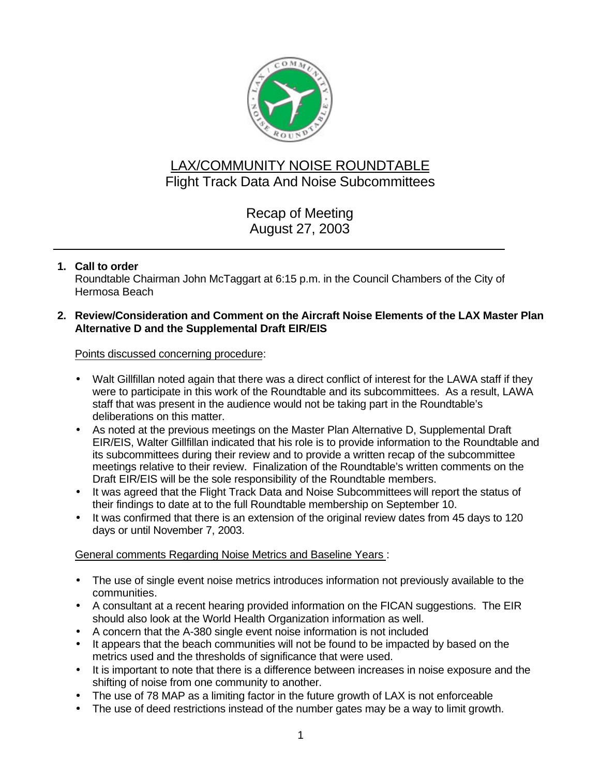

# LAX/COMMUNITY NOISE ROUNDTABLE Flight Track Data And Noise Subcommittees

Recap of Meeting August 27, 2003

## **1. Call to order**

Roundtable Chairman John McTaggart at 6:15 p.m. in the Council Chambers of the City of Hermosa Beach

#### **2. Review/Consideration and Comment on the Aircraft Noise Elements of the LAX Master Plan Alternative D and the Supplemental Draft EIR/EIS**

Points discussed concerning procedure:

- Walt Gillfillan noted again that there was a direct conflict of interest for the LAWA staff if they were to participate in this work of the Roundtable and its subcommittees. As a result, LAWA staff that was present in the audience would not be taking part in the Roundtable's deliberations on this matter.
- As noted at the previous meetings on the Master Plan Alternative D, Supplemental Draft EIR/EIS, Walter Gillfillan indicated that his role is to provide information to the Roundtable and its subcommittees during their review and to provide a written recap of the subcommittee meetings relative to their review. Finalization of the Roundtable's written comments on the Draft EIR/EIS will be the sole responsibility of the Roundtable members.
- It was agreed that the Flight Track Data and Noise Subcommittees will report the status of their findings to date at to the full Roundtable membership on September 10.
- It was confirmed that there is an extension of the original review dates from 45 days to 120 days or until November 7, 2003.

General comments Regarding Noise Metrics and Baseline Years :

- The use of single event noise metrics introduces information not previously available to the communities.
- A consultant at a recent hearing provided information on the FICAN suggestions. The EIR should also look at the World Health Organization information as well.
- A concern that the A-380 single event noise information is not included
- It appears that the beach communities will not be found to be impacted by based on the metrics used and the thresholds of significance that were used.
- It is important to note that there is a difference between increases in noise exposure and the shifting of noise from one community to another.
- The use of 78 MAP as a limiting factor in the future growth of LAX is not enforceable
- The use of deed restrictions instead of the number gates may be a way to limit growth.